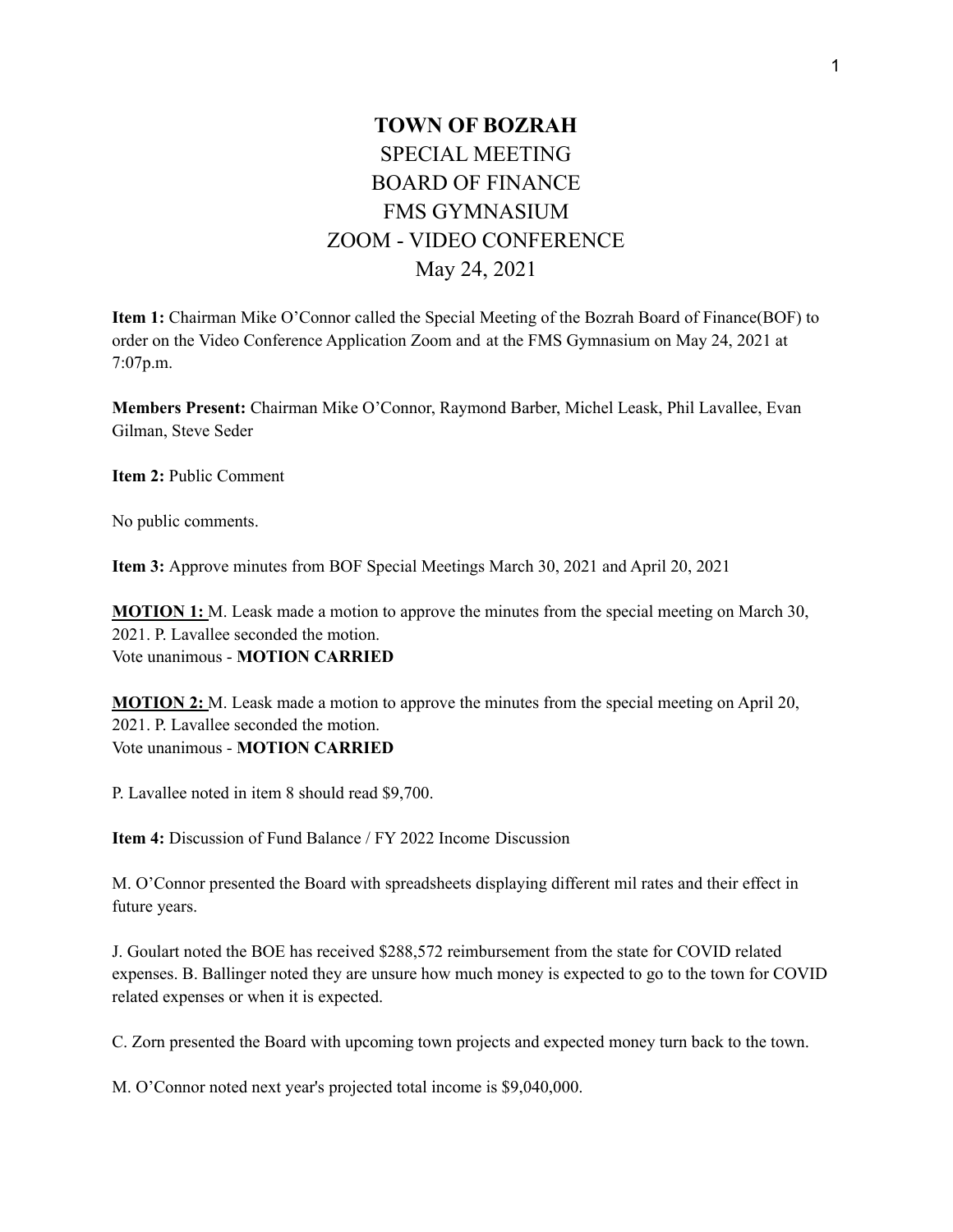## **TOWN OF BOZRAH** SPECIAL MEETING BOARD OF FINANCE FMS GYMNASIUM ZOOM - VIDEO CONFERENCE May 24, 2021

**Item 1:** Chairman Mike O'Connor called the Special Meeting of the Bozrah Board of Finance(BOF) to order on the Video Conference Application Zoom and at the FMS Gymnasium on May 24, 2021 at 7:07p.m.

**Members Present:** Chairman Mike O'Connor, Raymond Barber, Michel Leask, Phil Lavallee, Evan Gilman, Steve Seder

**Item 2:** Public Comment

No public comments.

**Item 3:** Approve minutes from BOF Special Meetings March 30, 2021 and April 20, 2021

**MOTION 1:** M. Leask made a motion to approve the minutes from the special meeting on March 30, 2021. P. Lavallee seconded the motion. Vote unanimous - **MOTION CARRIED**

**MOTION 2:** M. Leask made a motion to approve the minutes from the special meeting on April 20, 2021. P. Lavallee seconded the motion. Vote unanimous - **MOTION CARRIED**

P. Lavallee noted in item 8 should read \$9,700.

**Item 4:** Discussion of Fund Balance / FY 2022 Income Discussion

M. O'Connor presented the Board with spreadsheets displaying different mil rates and their effect in future years.

J. Goulart noted the BOE has received \$288,572 reimbursement from the state for COVID related expenses. B. Ballinger noted they are unsure how much money is expected to go to the town for COVID related expenses or when it is expected.

C. Zorn presented the Board with upcoming town projects and expected money turn back to the town.

M. O'Connor noted next year's projected total income is \$9,040,000.